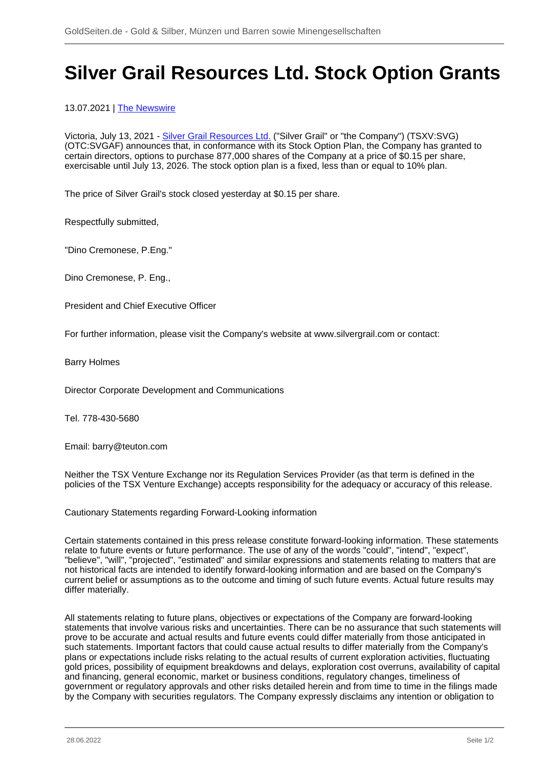## **Silver Grail Resources Ltd. Stock Option Grants**

13.07.2021 | [The Newswire](/profil/215--The-Newswire)

Victoria, July 13, 2021 - [Silver Grail Resources Ltd.](/minen/3500--Silver-Grail-Resources-Ltd) ("Silver Grail" or "the Company") (TSXV:SVG) (OTC:SVGAF) announces that, in conformance with its Stock Option Plan, the Company has granted to certain directors, options to purchase 877,000 shares of the Company at a price of \$0.15 per share, exercisable until July 13, 2026. The stock option plan is a fixed, less than or equal to 10% plan.

The price of Silver Grail's stock closed yesterday at \$0.15 per share.

Respectfully submitted,

"Dino Cremonese, P.Eng."

Dino Cremonese, P. Eng.,

President and Chief Executive Officer

For further information, please visit the Company's website at www.silvergrail.com or contact:

Barry Holmes

Director Corporate Development and Communications

Tel. 778-430-5680

Email: barry@teuton.com

Neither the TSX Venture Exchange nor its Regulation Services Provider (as that term is defined in the policies of the TSX Venture Exchange) accepts responsibility for the adequacy or accuracy of this release.

Cautionary Statements regarding Forward-Looking information

Certain statements contained in this press release constitute forward-looking information. These statements relate to future events or future performance. The use of any of the words "could", "intend", "expect", "believe", "will", "projected", "estimated" and similar expressions and statements relating to matters that are not historical facts are intended to identify forward-looking information and are based on the Company's current belief or assumptions as to the outcome and timing of such future events. Actual future results may differ materially.

All statements relating to future plans, objectives or expectations of the Company are forward-looking statements that involve various risks and uncertainties. There can be no assurance that such statements will prove to be accurate and actual results and future events could differ materially from those anticipated in such statements. Important factors that could cause actual results to differ materially from the Company's plans or expectations include risks relating to the actual results of current exploration activities, fluctuating gold prices, possibility of equipment breakdowns and delays, exploration cost overruns, availability of capital and financing, general economic, market or business conditions, regulatory changes, timeliness of government or regulatory approvals and other risks detailed herein and from time to time in the filings made by the Company with securities regulators. The Company expressly disclaims any intention or obligation to